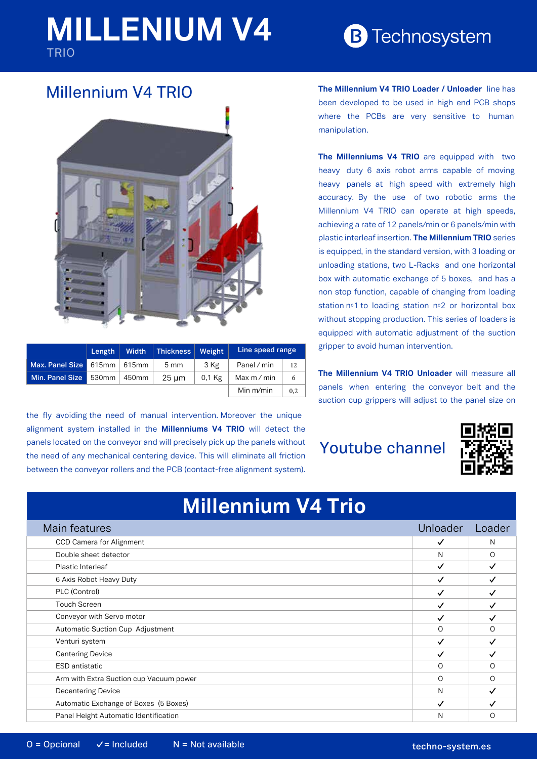# **MILLENIUM V4** TRIO

# **B** Technosystem

### Millennium V4 TRIO



|                               | Length $ $ | <b>Width</b>  | Thickness   Weight |        | Line speed range |     |
|-------------------------------|------------|---------------|--------------------|--------|------------------|-----|
| Max. Panel Size 615mm   615mm |            |               | $5 \text{ mm}$     | 3 Kg   | Panel / min      |     |
| Min. Panel Size               |            | 530mm   450mm | $25 \mu m$         | 0,1 Kg | Max m / min      |     |
|                               |            |               |                    |        | Min $m/min$      | 0.2 |

the fly avoiding the need of manual intervention. Moreover the unique alignment system installed in the **Millenniums V4 TRIO** will detect the panels located on the conveyor and will precisely pick up the panels without the need of any mechanical centering device. This will eliminate all friction between the conveyor rollers and the PCB (contact-free alignment system). **The Millennium V4 TRIO Loader / Unloader** line has been developed to be used in high end PCB shops where the PCBs are very sensitive to human manipulation.

**The Millenniums V4 TRIO** are equipped with two heavy duty 6 axis robot arms capable of moving heavy panels at high speed with extremely high accuracy. By the use of two robotic arms the Millennium V4 TRIO can operate at high speeds, achieving a rate of 12 panels/min or 6 panels/min with plastic interleaf insertion. **The Millennium TRIO** series is equipped, in the standard version, with 3 loading or unloading stations, two L-Racks and one horizontal box with automatic exchange of 5 boxes, and has a non stop function, capable of changing from loading station nº1 to loading station nº2 or horizontal box without stopping production. This series of loaders is equipped with automatic adjustment of the suction gripper to avoid human intervention.

**The Millennium V4 TRIO Unloader** will measure all panels when entering the conveyor belt and the suction cup grippers will adjust to the panel size on

## Youtube channel



| <b>IVIIIICIIIIIUIIII V4 IIIU</b>        |              |              |  |  |  |  |  |
|-----------------------------------------|--------------|--------------|--|--|--|--|--|
| Main features                           | Unloader     | Loader       |  |  |  |  |  |
| CCD Camera for Alignment                | ✓            | N            |  |  |  |  |  |
| Double sheet detector                   | N            | O            |  |  |  |  |  |
| Plastic Interleaf                       | $\checkmark$ | $\checkmark$ |  |  |  |  |  |
| 6 Axis Robot Heavy Duty                 | ✓            |              |  |  |  |  |  |
| PLC (Control)                           |              |              |  |  |  |  |  |
| <b>Touch Screen</b>                     |              |              |  |  |  |  |  |
| Conveyor with Servo motor               |              |              |  |  |  |  |  |
| Automatic Suction Cup Adjustment        | ∩            | Ω            |  |  |  |  |  |
| Venturi system                          | ✓            |              |  |  |  |  |  |
| <b>Centering Device</b>                 |              |              |  |  |  |  |  |
| <b>ESD</b> antistatic                   | ∩            | ∩            |  |  |  |  |  |
| Arm with Extra Suction cup Vacuum power | $\Omega$     | Ω            |  |  |  |  |  |
| <b>Decentering Device</b>               | N            |              |  |  |  |  |  |
| Automatic Exchange of Boxes (5 Boxes)   |              |              |  |  |  |  |  |

Panel Height Automatic Identification N O

**Millennium V4 Trio**